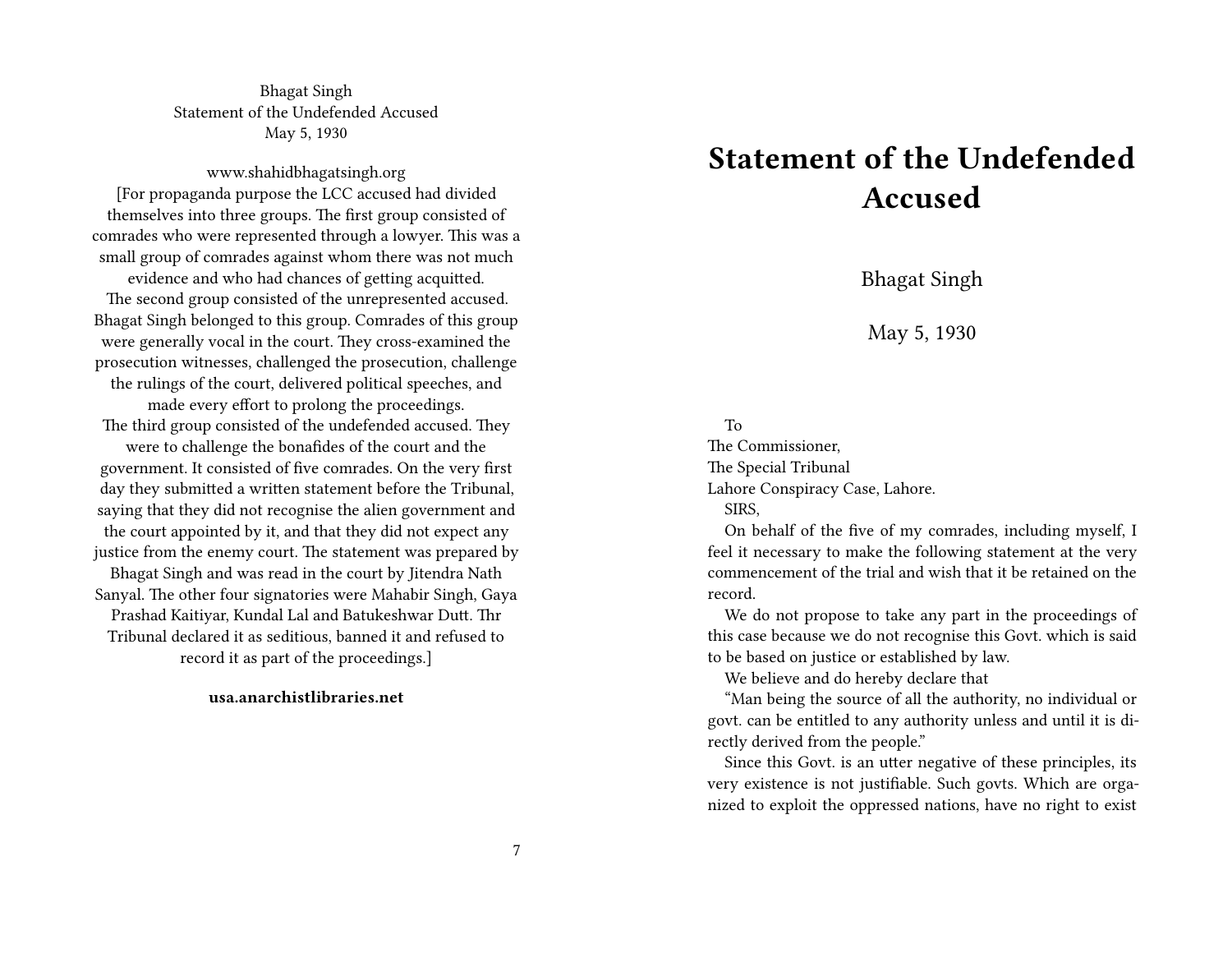Bhagat Singh Statement of the Undefended Accused May 5, 1930

www.shahidbhagatsingh.org [For propaganda purpose the LCC accused had divided themselves into three groups. The first group consisted of comrades who were represented through a lowyer. This was a small group of comrades against whom there was not much evidence and who had chances of getting acquitted. The second group consisted of the unrepresented accused. Bhagat Singh belonged to this group. Comrades of this group were generally vocal in the court. They cross-examined the prosecution witnesses, challenged the prosecution, challenge the rulings of the court, delivered political speeches, and made every effort to prolong the proceedings. The third group consisted of the undefended accused. They were to challenge the bonafides of the court and the government. It consisted of five comrades. On the very first day they submitted a written statement before the Tribunal, saying that they did not recognise the alien government and the court appointed by it, and that they did not expect any justice from the enemy court. The statement was prepared by Bhagat Singh and was read in the court by Jitendra Nath Sanyal. The other four signatories were Mahabir Singh, Gaya Prashad Kaitiyar, Kundal Lal and Batukeshwar Dutt. Thr Tribunal declared it as seditious, banned it and refused to record it as part of the proceedings.]

## **usa.anarchistlibraries.net**

## **Statement of the Undefended Accused**

Bhagat Singh

May 5, 1930

To The Commissioner, The Special Tribunal Lahore Conspiracy Case, Lahore. SIRS,

On behalf of the five of my comrades, including myself, I feel it necessary to make the following statement at the very commencement of the trial and wish that it be retained on the record.

We do not propose to take any part in the proceedings of this case because we do not recognise this Govt. which is said to be based on justice or established by law.

We believe and do hereby declare that

"Man being the source of all the authority, no individual or govt. can be entitled to any authority unless and until it is directly derived from the people."

Since this Govt. is an utter negative of these principles, its very existence is not justifiable. Such govts. Which are organized to exploit the oppressed nations, have no right to exist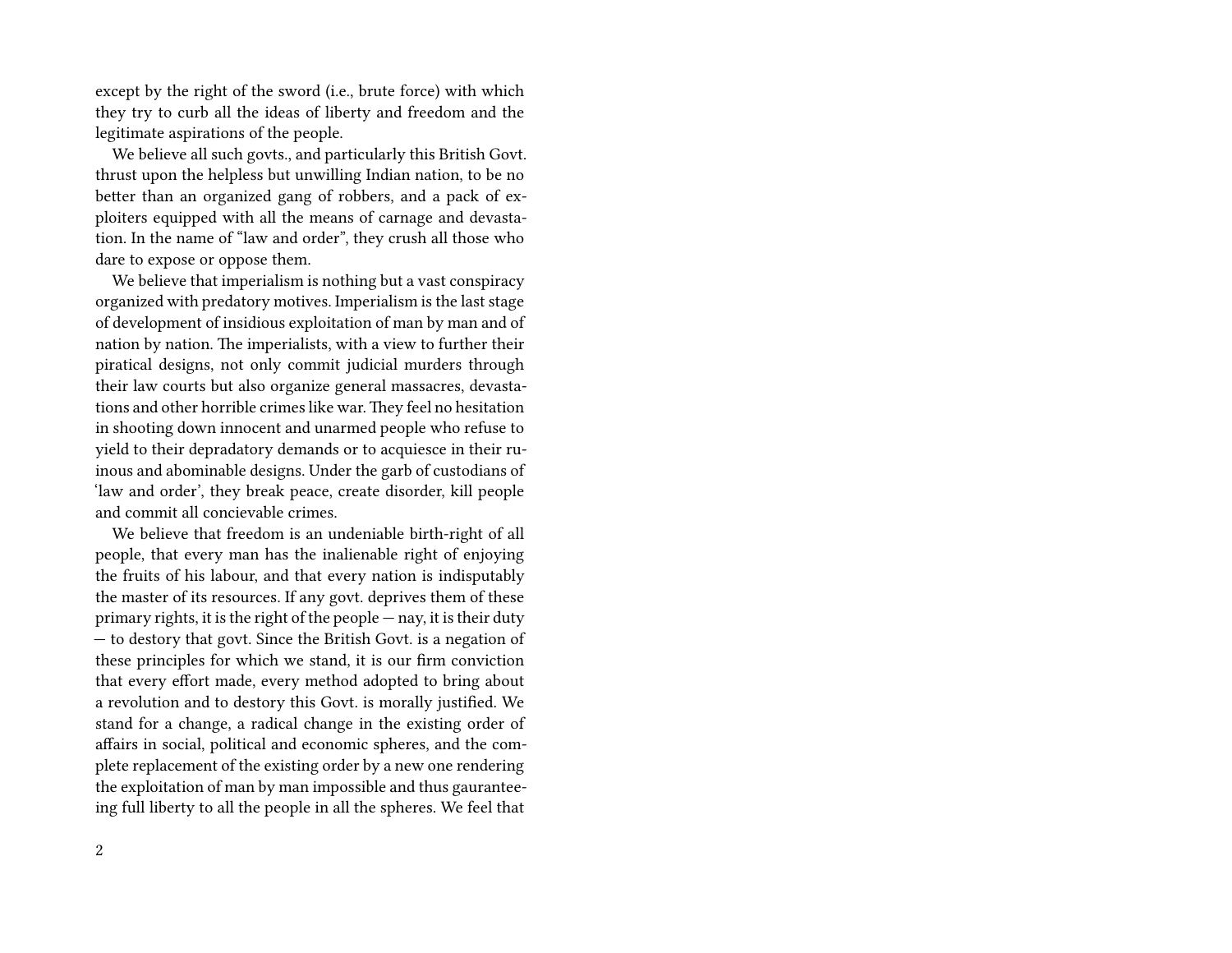except by the right of the sword (i.e., brute force) with which they try to curb all the ideas of liberty and freedom and the legitimate aspirations of the people.

We believe all such govts., and particularly this British Govt. thrust upon the helpless but unwilling Indian nation, to be no better than an organized gang of robbers, and a pack of exploiters equipped with all the means of carnage and devastation. In the name of "law and order", they crush all those who dare to expose or oppose them.

We believe that imperialism is nothing but a vast conspiracy organized with predatory motives. Imperialism is the last stage of development of insidious exploitation of man by man and of nation by nation. The imperialists, with a view to further their piratical designs, not only commit judicial murders through their law courts but also organize general massacres, devastations and other horrible crimes like war. They feel no hesitation in shooting down innocent and unarmed people who refuse to yield to their depradatory demands or to acquiesce in their ruinous and abominable designs. Under the garb of custodians of 'law and order', they break peace, create disorder, kill people and commit all concievable crimes.

We believe that freedom is an undeniable birth-right of all people, that every man has the inalienable right of enjoying the fruits of his labour, and that every nation is indisputably the master of its resources. If any govt. deprives them of these primary rights, it is the right of the people — nay, it is their duty — to destory that govt. Since the British Govt. is a negation of these principles for which we stand, it is our firm conviction that every effort made, every method adopted to bring about a revolution and to destory this Govt. is morally justified. We stand for a change, a radical change in the existing order of affairs in social, political and economic spheres, and the complete replacement of the existing order by a new one rendering the exploitation of man by man impossible and thus gauranteeing full liberty to all the people in all the spheres. We feel that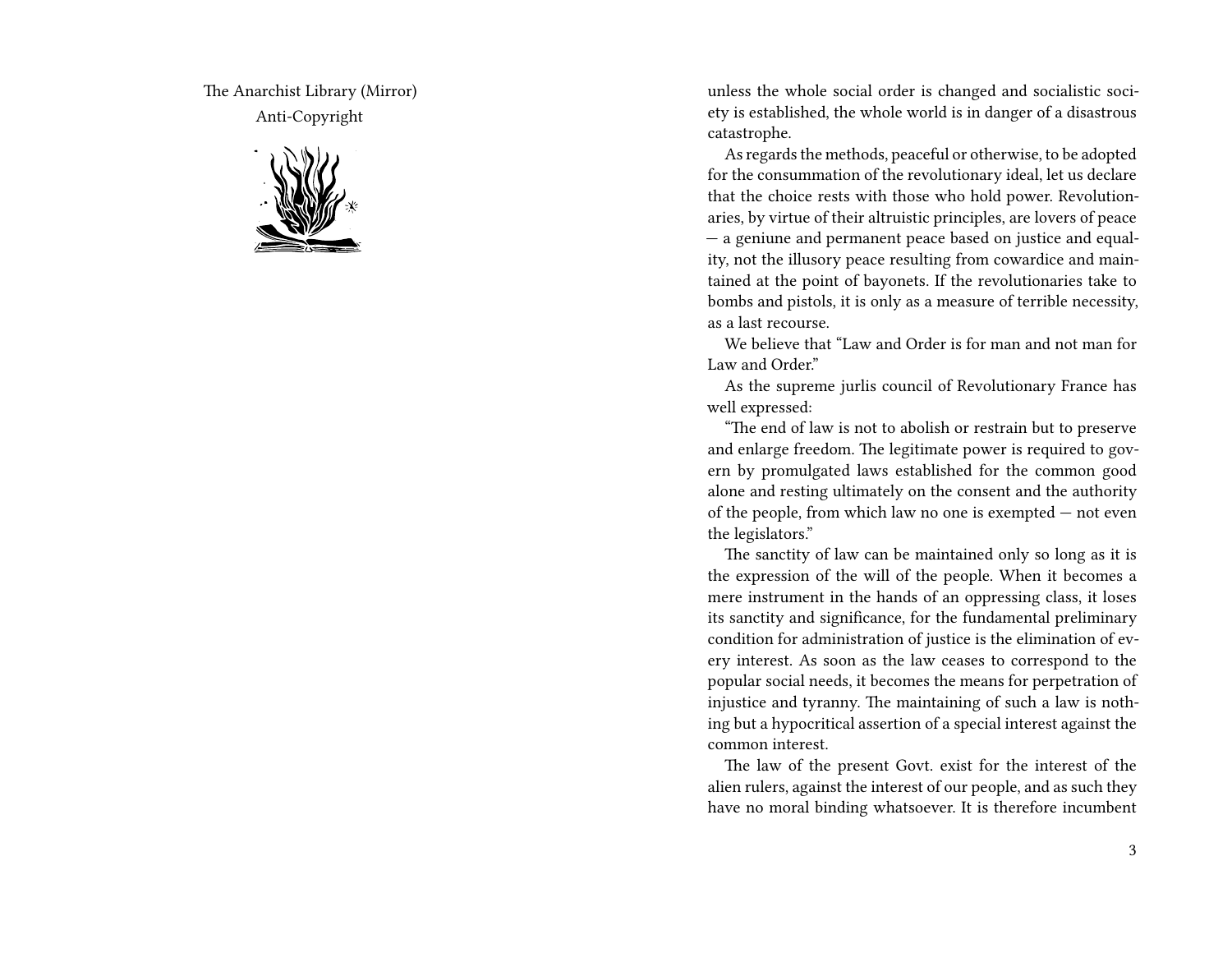The Anarchist Library (Mirror) Anti-Copyright



unless the whole social order is changed and socialistic society is established, the whole world is in danger of a disastrous catastrophe.

As regards the methods, peaceful or otherwise, to be adopted for the consummation of the revolutionary ideal, let us declare that the choice rests with those who hold power. Revolutionaries, by virtue of their altruistic principles, are lovers of peace — a geniune and permanent peace based on justice and equality, not the illusory peace resulting from cowardice and maintained at the point of bayonets. If the revolutionaries take to bombs and pistols, it is only as a measure of terrible necessity, as a last recourse.

We believe that "Law and Order is for man and not man for Law and Order"

As the supreme jurlis council of Revolutionary France has well expressed:

"The end of law is not to abolish or restrain but to preserve and enlarge freedom. The legitimate power is required to govern by promulgated laws established for the common good alone and resting ultimately on the consent and the authority of the people, from which law no one is exempted — not even the legislators."

The sanctity of law can be maintained only so long as it is the expression of the will of the people. When it becomes a mere instrument in the hands of an oppressing class, it loses its sanctity and significance, for the fundamental preliminary condition for administration of justice is the elimination of every interest. As soon as the law ceases to correspond to the popular social needs, it becomes the means for perpetration of injustice and tyranny. The maintaining of such a law is nothing but a hypocritical assertion of a special interest against the common interest.

The law of the present Govt. exist for the interest of the alien rulers, against the interest of our people, and as such they have no moral binding whatsoever. It is therefore incumbent